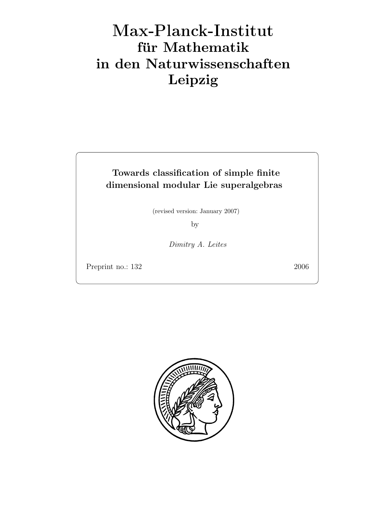# Max-Plan
k-Institut für Mathematik in den Naturwissenschaften Leipzig

# Towards classification of simple finite dimensional modular Lie superalgebras

(revised version: January 2007)

by

Dimitry A. Leites

Preprint no.: 132 2006

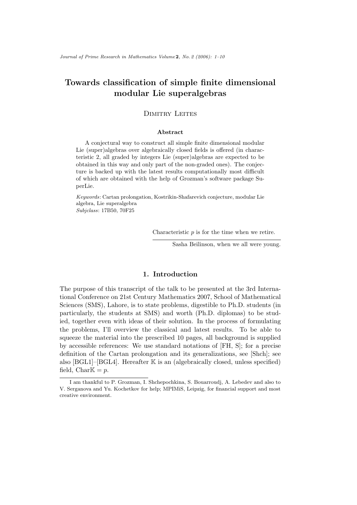# Towards classification of simple finite dimensional modular Lie superalgebras

# DIMITRY LEITES

#### Abstract

A conjectural way to construct all simple finite dimensional modular Lie (super)algebras over algebraically closed fields is offered (in characteristic 2, all graded by integers Lie (super)algebras are expected to be obtained in this way and only part of the non-graded ones). The conjecture is backed up with the latest results computationally most difficult of which are obtained with the help of Grozman's software package SuperLie.

Keywords: Cartan prolongation, Kostrikin-Shafarevich conjecture, modular Lie algebra, Lie superalgebra Subjclass: 17B50, 70F25

Characteristic  $p$  is for the time when we retire.

Sasha Beilinson, when we all were young.

# 1. Introduction

The purpose of this transcript of the talk to be presented at the 3rd International Conference on 21st Century Mathematics 2007, School of Mathematical Sciences (SMS), Lahore, is to state problems, digestible to Ph.D. students (in particularly, the students at SMS) and worth (Ph.D. diplomas) to be studied, together even with ideas of their solution. In the process of formulating the problems, I'll overview the classical and latest results. To be able to squeeze the material into the prescribed 10 pages, all background is supplied by accessible references: We use standard notations of [FH, S]; for a precise definition of the Cartan prolongation and its generalizations, see [Shch]; see also  $[BGL1]$ – $[BGL4]$ . Hereafter K is an (algebraically closed, unless specified) field, Char $\mathbb{K} = p$ .

I am thankful to P. Grozman, I. Shchepochkina, S. Bouarroudj, A. Lebedev and also to V. Serganova and Yu. Kochetkov for help; MPIMiS, Leipzig, for financial support and most creative environment.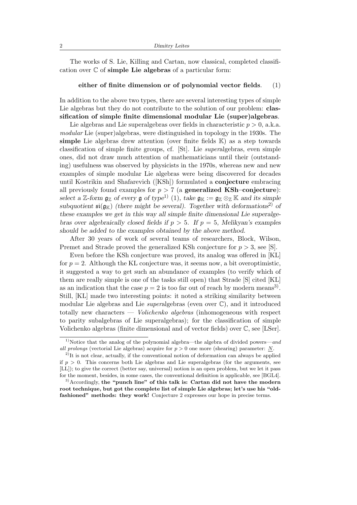The works of S. Lie, Killing and Cartan, now classical, completed classification over  $\mathbb C$  of simple Lie algebras of a particular form:

### either of finite dimension or of polynomial vector fields. (1)

In addition to the above two types, there are several interesting types of simple Lie algebras but they do not contribute to the solution of our problem: **clas**sification of simple finite dimensional modular Lie (super)algebras.

Lie algebras and Lie superalgebras over fields in characteristic  $p > 0$ , a.k.a. modular Lie (super)algebras, were distinguished in topology in the 1930s. The simple Lie algebras drew attention (over finite fields  $K$ ) as a step towards classification of simple finite groups, cf. [St]. Lie superalgebras, even simple ones, did not draw much attention of mathematicians until their (outstanding) usefulness was observed by physicists in the 1970s, whereas new and new examples of simple modular Lie algebras were being discovered for decades until Kostrikin and Shafarevich ([KSh]) formulated a conjecture embracing all previously found examples for  $p > 7$  (a **generalized KSh–conjecture**): select a Z-form  $\mathfrak{g}_{\mathbb{Z}}$  of every  $\mathfrak{g}$  of type<sup>1)</sup> (1), take  $\mathfrak{g}_{\mathbb{K}} := \mathfrak{g}_{\mathbb{Z}} \otimes_{\mathbb{Z}} \mathbb{K}$  and its simple subquotient  $\mathfrak{si}(\mathfrak{g}_{\mathbb{K}})$  (there might be several). Together with deformations<sup>2)</sup> of these examples we get in this way all simple finite dimensional Lie superalgebras over algebraically closed fields if  $p > 5$ . If  $p = 5$ , Melikyan's examples should be added to the examples obtained by the above method.

After 30 years of work of several teams of researchers, Block, Wilson, Premet and Strade proved the generalized KSh conjecture for  $p > 3$ , see [S].

Even before the KSh conjecture was proved, its analog was offered in [KL] for  $p = 2$ . Although the KL conjecture was, it seems now, a bit overoptimistic, it suggested a way to get such an abundance of examples (to verify which of them are really simple is one of the tasks still open) that Strade [S] cited [KL] as an indication that the case  $p = 2$  is too far out of reach by modern means<sup>3</sup>. Still, [KL] made two interesting points: it noted a striking similarity between modular Lie algebras and Lie *superalgebras* (even over  $\mathbb{C}$ ), and it introduced totally new characters — *Volichenko algebras* (inhomogeneous with respect to parity subalgebras of Lie superalgebras); for the classification of simple Volichenko algebras (finite dimensional and of vector fields) over C, see [LSer].

<sup>&</sup>lt;sup>1)</sup>Notice that the analog of the polynomial algebra—the algebra of divided powers—and all prolongs (vectorial Lie algebras) acquire for  $p > 0$  one more (shearing) parameter: N.

<sup>&</sup>lt;sup>2)</sup>It is not clear, actually, if the conventional notion of deformation can always be applied if  $p > 0$ . This concerns both Lie algebras and Lie superalgebras (for the arguments, see [LL]); to give the correct (better say, universal) notion is an open problem, but we let it pass for the moment, besides, in some cases, the conventional definition is applicable, see [BGL4].

 $3)$ Accordingly, the "punch line" of this talk is: Cartan did not have the modern root technique, but got the complete list of simple Lie algebras; let's use his "oldfashioned" methods: they work! Conjecture 2 expresses our hope in precise terms.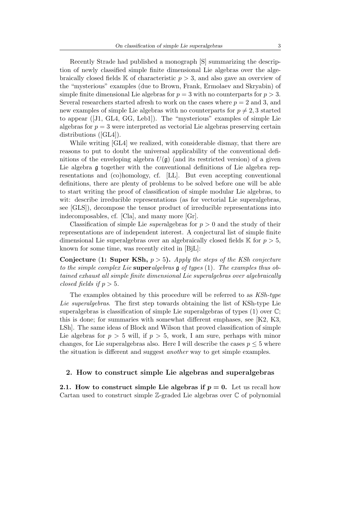Recently Strade had published a monograph [S] summarizing the description of newly classified simple finite dimensional Lie algebras over the algebraically closed fields  $\mathbb K$  of characteristic  $p > 3$ , and also gave an overview of the "mysterious" examples (due to Brown, Frank, Ermolaev and Skryabin) of simple finite dimensional Lie algebras for  $p = 3$  with no counterparts for  $p > 3$ . Several researchers started afresh to work on the cases where  $p = 2$  and 3, and new examples of simple Lie algebras with no counterparts for  $p \neq 2, 3$  started to appear ([J1, GL4, GG, Leb1]). The "mysterious" examples of simple Lie algebras for  $p = 3$  were interpreted as vectorial Lie algebras preserving certain distributions ([GL4]).

While writing [GL4] we realized, with considerable dismay, that there are reasons to put to doubt the universal applicability of the conventional definitions of the enveloping algebra  $U(\mathfrak{g})$  (and its restricted version) of a given Lie algebra g together with the conventional definitions of Lie algebra representations and (co)homology, cf. [LL]. But even accepting conventional definitions, there are plenty of problems to be solved before one will be able to start writing the proof of classification of simple modular Lie algebras, to wit: describe irreducible representations (as for vectorial Lie superalgebras, see [GLS]), decompose the tensor product of irreducible representations into indecomposables, cf. [Cla], and many more [Gr].

Classification of simple Lie *superalgebras* for  $p > 0$  and the study of their representations are of independent interest. A conjectural list of simple finite dimensional Lie superalgebras over an algebraically closed fields  $\mathbb{K}$  for  $p > 5$ . known for some time, was recently cited in [BjL]:

**Conjecture (1: Super KSh,**  $p > 5$ ). Apply the steps of the KSh conjecture to the simple complex Lie superalgebras  $\frak{g}$  of types (1). The examples thus obtained exhaust all simple finite dimensional Lie superalgebras over algebraically closed fields if  $p > 5$ .

The examples obtained by this procedure will be referred to as KSh-type Lie superalgebras. The first step towards obtaining the list of KSh-type Lie superalgebras is classification of simple Lie superalgebras of types (1) over C; this is done; for summaries with somewhat different emphases, see [K2, K3, LSh]. The same ideas of Block and Wilson that proved classification of simple Lie algebras for  $p > 5$  will, if  $p > 5$ , work, I am sure, perhaps with minor changes, for Lie superalgebras also. Here I will describe the cases  $p \leq 5$  where the situation is different and suggest another way to get simple examples.

## 2. How to construct simple Lie algebras and superalgebras

2.1. How to construct simple Lie algebras if  $p = 0$ . Let us recall how Cartan used to construct simple Z-graded Lie algebras over C of polynomial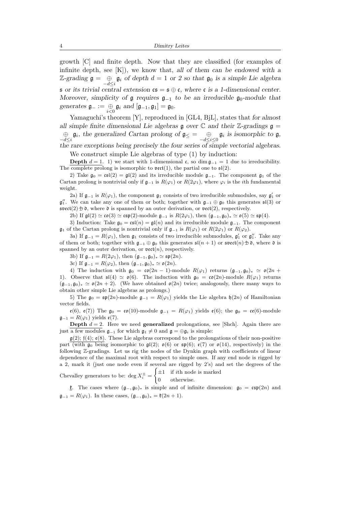growth [C] and finite depth. Now that they are classified (for examples of infinite depth, see  $[K]$ , we know that, all of them can be endowed with a  $\mathbb{Z}\text{-}\text{grading } \mathfrak{g} = \bigoplus_{-d \leq i} \mathfrak{g}_i$  of depth  $d = 1$  or 2 so that  $\mathfrak{g}_0$  is a simple Lie algebra s or its trivial central extension  $cs = s \oplus c$ , where c is a 1-dimensional center. Moreover, simplicity of  $\mathfrak g$  requires  $\mathfrak g_{-1}$  to be an irreducible  $\mathfrak g_0$ -module that generates  $\mathfrak{g}_- := \bigoplus_{i < 0} \mathfrak{g}_i$  and  $[\mathfrak{g}_{-1}, \mathfrak{g}_1] = \mathfrak{g}_0$ .

Yamaguchi's theorem [Y], reproduced in [GL4, BjL], states that for almost all simple finite dimensional Lie algebras  $\mathfrak g$  over  $\mathbb C$  and their  $\mathbb Z$ -gradings  $\mathfrak g$  =  $\bigoplus_{-d\leq i} \mathfrak{g}_i$ , the generalized Cartan prolong of  $\mathfrak{g}_{\leq} = \bigoplus_{-d\leq i\leq 0} \mathfrak{g}_i$  is isomorphic to  $\mathfrak{g}_{\beta}$ , the rare exceptions being precisely the four series of simple vectorial algebras.

We construct simple Lie algebras of type (1) by induction:

Depth  $d = 1, 1$ ) we start with 1-dimensional c, so dim  $\mathfrak{a}_{-1} = 1$  due to irreducibility. The complete prolong is isomorphic to  $\text{vect}(1)$ , the partial one to  $\mathfrak{sl}(2)$ .

2) Take  $\mathfrak{g}_0 = \mathfrak{cs}((2) = \mathfrak{gl}(2)$  and its irreducible module  $\mathfrak{g}_{-1}$ . The component  $\mathfrak{g}_1$  of the Cartan prolong is nontrivial only if  $\mathfrak{g}_{-1}$  is  $R(\varphi_1)$  or  $R(2\varphi_1)$ , where  $\varphi_i$  is the *i*th fundamental weight.

2a) If  $\mathfrak{g}_{-1}$  is  $R(\varphi_1)$ , the component  $\mathfrak{g}_1$  consists of two irreducible submodules, say  $\mathfrak{g}'_1$  or  $\mathfrak{g}''$ . We can take any one of them or both; together with  $\mathfrak{g}_{-1} \oplus \mathfrak{g}_0$  this generates  $\mathfrak{sl}(3)$  or  $\mathfrak{svect}(2) \oplus \mathfrak{d}$ , where  $\mathfrak d$  is spanned by an outer derivation, or  $\mathfrak{vect}(2)$ , respectively.

2b) If  $\mathfrak{gl}(2) \simeq \mathfrak{co}(3) \simeq \mathfrak{csp}(2)$ -module  $\mathfrak{g}_{-1}$  is  $R(2\varphi_1)$ , then  $(\mathfrak{g}_{-1}, \mathfrak{g}_0)_* \simeq \mathfrak{o}(5) \simeq \mathfrak{sp}(4)$ .

3) Induction: Take  $\mathfrak{g}_0 = \mathfrak{cs}(n) = \mathfrak{gl}(n)$  and its irreducible module  $\mathfrak{g}_{-1}$ . The component  $\mathfrak{g}_1$  of the Cartan prolong is nontrivial only if  $\mathfrak{g}_{-1}$  is  $R(\varphi_1)$  or  $R(2\varphi_1)$  or  $R(\varphi_2)$ .

3a) If  $\mathfrak{g}_{-1} = R(\varphi_1)$ , then  $\mathfrak{g}_1$  consists of two irreducible submodules,  $\mathfrak{g}'_1$  or  $\mathfrak{g}''_1$ . Take any of them or both; together with  $\mathfrak{g}_{-1} \oplus \mathfrak{g}_0$  this generates  $\mathfrak{sl}(n+1)$  or  $\mathfrak{svect}(n) \oplus \mathfrak{d}$ , where  $\mathfrak d$  is spanned by an outer derivation, or  $\text{vect}(n)$ , respectively.

3b) If  $\mathfrak{g}_{-1} = R(2\varphi_1)$ , then  $(\mathfrak{g}_{-1}, \mathfrak{g}_0)_* \simeq \mathfrak{sp}(2n)$ .

3c) If  $\mathfrak{g}_{-1} = R(\varphi_2)$ , then  $(\mathfrak{g}_{-1}, \mathfrak{g}_0)_* \simeq \mathfrak{o}(2n)$ .

4) The induction with  $\mathfrak{g}_0 = \mathfrak{co}(2n-1)$ -module  $R(\varphi_1)$  returns  $(\mathfrak{g}_{-1}, \mathfrak{g}_0)_* \simeq \mathfrak{o}(2n+1)$ 1). Observe that  $\mathfrak{sl}(4) \simeq \mathfrak{o}(6)$ . The induction with  $\mathfrak{g}_0 = \mathfrak{co}(2n)$ -module  $R(\varphi_1)$  returns  $(\mathfrak{g}_{-1}, \mathfrak{g}_0)_* \simeq \mathfrak{o}(2n+2)$ . (We have obtained  $\mathfrak{o}(2n)$  twice; analogously, there many ways to obtain other simple Lie algebras as prolongs.)

5) The  $\mathfrak{g}_0 = \mathfrak{sp}(2n)$ -module  $\mathfrak{g}_{-1} = R(\varphi_1)$  yields the Lie algebra  $\mathfrak{h}(2n)$  of Hamiltonian vector fields.

 $e(6)$ ,  $e(7)$ ) The  $\mathfrak{g}_0 = \mathfrak{co}(10)$ -module  $\mathfrak{g}_{-1} = R(\varphi_1)$  yields  $e(6)$ ; the  $\mathfrak{g}_0 = \mathfrak{co}(6)$ -module  $\mathfrak{g}_{-1} = R(\varphi_1)$  yields  $\mathfrak{e}(7)$ .

**Depth**  $d = 2$ . Here we need **generalized** prolongations, see [Shch]. Again there are just a few modules  $\mathfrak{g}_{-1}$  for which  $\mathfrak{g}_1 \neq 0$  and  $\mathfrak{g} = \bigoplus \mathfrak{g}_i$  is simple:

 $g(2)$ ;  $f(4)$ ;  $g(8)$ . These Lie algebras correspond to the prolongations of their non-positive part (with  $g_0$  being isomorphic to  $\mathfrak{gl}(2)$ ;  $\mathfrak{o}(6)$  or  $\mathfrak{sp}(6)$ ;  $\mathfrak{e}(7)$  or  $\mathfrak{o}(14)$ , respectively) in the following Z-gradings. Let us rig the nodes of the Dynkin graph with coefficients of linear dependence of the maximal root with respect to simple ones. If any end node is rigged by a 2, mark it (just one node even if several are rigged by 2's) and set the degrees of the Chevalley generators to be: deg  $X_i^{\pm}$  =  $\int \pm 1$  if *i*th node is marked

0 otherwise.

**f**. The cases where  $(\mathfrak{g}_{-}, \mathfrak{g}_{0})_*$  is simple and of infinite dimension:  $\mathfrak{g}_0 = \mathfrak{csp}(2n)$  and  $\mathfrak{g}_{-1} = R(\varphi_1)$ . In these cases,  $(\mathfrak{g}_{-}, \mathfrak{g}_0)_* = \mathfrak{k}(2n+1)$ .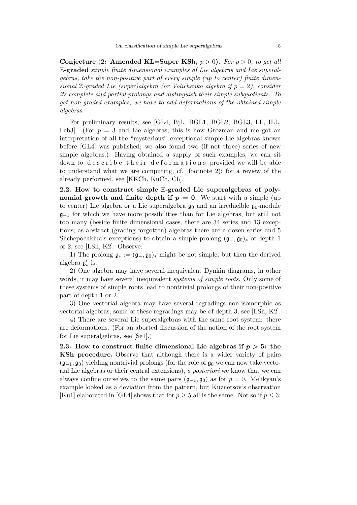Conjecture (2: Amended KL=Super KSh,  $p > 0$ ). For  $p > 0$ , to get all Z-graded simple finite dimensional examples of Lie algebras and Lie superalgebras, take the non-positive part of every simple (up to center) finite dimensional  $\mathbb{Z}$ -graded Lie (super)algebra (or Volichenko algebra if  $p = 2$ ), consider its complete and partial prolongs and distinguish their simple subquotients. To get non-graded examples, we have to add deformations of the obtained simple algebras.

For preliminary results, see [GL4, BjL, BGL1, BGL2, BGL3, LL, ILL, Leb3. (For  $p = 3$  and Lie algebras, this is how Grozman and me got an interpretation of all the "mysterious" exceptional simple Lie algebras known before [GL4] was published; we also found two (if not three) series of new simple algebras.) Having obtained a supply of such examples, we can sit down to describe their deformations provided we will be able to understand what we are computing, cf. footnote 2); for a review of the already performed, see [KKCh, KuCh, Ch].

2.2. How to construct simple Z-graded Lie superalgebras of polynomial growth and finite depth if  $p = 0$ . We start with a simple (up to center) Lie algebra or a Lie superalgebra  $\mathfrak{g}_0$  and an irreducible  $\mathfrak{g}_0$ -module  $\mathfrak{g}_{-1}$  for which we have more possibilities than for Lie algebras, but still not too many (beside finite dimensional cases, there are 34 series and 13 exceptions; as abstract (grading forgotten) algebras there are a dozen series and 5 Shchepochkina's exceptions) to obtain a simple prolong  $(\mathfrak{g}_-, \mathfrak{g}_0)_*$  of depth 1 or 2, see [LSh, K2]. Observe:

1) The prolong  $\mathfrak{g}_* := (\mathfrak{g}_-, \mathfrak{g}_0)_*$  might be not simple, but then the derived algebra  $\mathfrak{g}'_*$  is.

2) One algebra may have several inequivalent Dynkin diagrams, in other words, it may have several inequivalent *systems of simple roots*. Only some of these systems of simple roots lead to nontrivial prolongs of their non-positive part of depth 1 or 2.

3) One vectorial algebra may have several regradings non-isomorphic as vectorial algebras; some of these regradings may be of depth 3, see [LSh, K2].

4) There are several Lie superalgebras with the same root system: there are deformations. (For an aborted discussion of the notion of the root system for Lie superalgebras, see [Se1].)

2.3. How to construct finite dimensional Lie algebras if  $p > 5$ : the KSh procedure. Observe that although there is a wider variety of pairs  $(\mathfrak{g}_{-1}, \mathfrak{g}_0)$  yielding nontrivial prolongs (for the role of  $\mathfrak{g}_0$  we can now take vectorial Lie algebras or their central extensions), a posteriori we know that we can always confine ourselves to the same pairs  $(\mathfrak{g}_{-1}, \mathfrak{g}_0)$  as for  $p = 0$ . Melikyan's example looked as a deviation from the pattern, but Kuznetsov's observation [Ku1] elaborated in [GL4] shows that for  $p \geq 5$  all is the same. Not so if  $p \leq 3$ :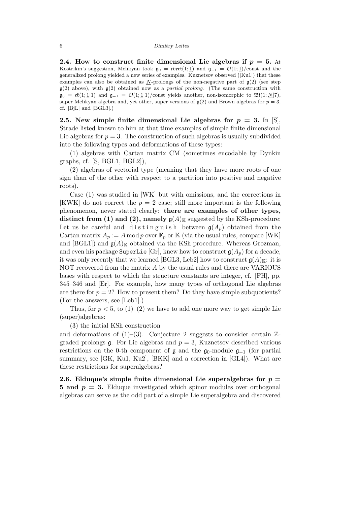2.4. How to construct finite dimensional Lie algebras if  $p = 5$ . At Kostrikin's suggestion, Melikyan took  $\mathfrak{g}_0 = \text{cov}(\mathfrak{t}(1; 1))$  and  $\mathfrak{g}_{-1} = \mathcal{O}(1; 1)/\text{const}$  and the generalized prolong yielded a new series of examples. Kuznetsov observed ([Ku1]) that these examples can also be obtained as  $N$ -prolongs of the non-negative part of  $g(2)$  (see step  $\mathfrak{g}(2)$  above), with  $\mathfrak{g}(2)$  obtained now as a *partial prolong*. (The same construction with  $\mathfrak{g}_0 = \mathfrak{c}\mathfrak{k}(1;1|1)$  and  $\mathfrak{g}_{-1} = \mathcal{O}(1;1|1)/\text{const}$  yields another, non-isomorphic to  $\mathfrak{B}(1;\underline{N}|7)$ , super Melikyan algebra and, yet other, super versions of  $\mathfrak{g}(2)$  and Brown algebras for  $p = 3$ , cf. [BjL] and [BGL3].)

2.5. New simple finite dimensional Lie algebras for  $p = 3$ . In  $|S|$ , Strade listed known to him at that time examples of simple finite dimensional Lie algebras for  $p = 3$ . The construction of such algebras is usually subdivided into the following types and deformations of these types:

(1) algebras with Cartan matrix CM (sometimes encodable by Dynkin graphs, cf. [S, BGL1, BGL2]),

(2) algebras of vectorial type (meaning that they have more roots of one sign than of the other with respect to a partition into positive and negative roots).

Case (1) was studied in [WK] but with omissions, and the corrections in [KWK] do not correct the  $p = 2$  case; still more important is the following phenomenon, never stated clearly: there are examples of other types, distinct from (1) and (2), namely  $\mathfrak{g}(A)_{\mathbb{K}}$  suggested by the KSh-procedure: Let us be careful and d is t inguish between  $g(A_n)$  obtained from the Cartan matrix  $A_p := A \mod p$  over  $\mathbb{F}_p$  or  $\mathbb{K}$  (via the usual rules, compare [WK] and [BGL1]) and  $\mathfrak{g}(A)_{\mathbb{K}}$  obtained via the KSh procedure. Whereas Grozman, and even his package SuperLie [Gr], knew how to construct  $g(A_p)$  for a decade, it was only recently that we learned [BGL3, Leb2] how to construct  $\mathfrak{g}(A)_{\mathbb{K}}$ : it is NOT recovered from the matrix A by the usual rules and there are VARIOUS bases with respect to which the structure constants are integer, cf. [FH], pp. 345–346 and [Er]. For example, how many types of orthogonal Lie algebras are there for  $p = 2$ ? How to present them? Do they have simple subquotients? (For the answers, see [Leb1].)

Thus, for  $p < 5$ , to  $(1)-(2)$  we have to add one more way to get simple Lie (super)algebras:

(3) the initial KSh construction

and deformations of  $(1)$ – $(3)$ . Conjecture 2 suggests to consider certain  $\mathbb{Z}$ graded prolongs g. For Lie algebras and  $p = 3$ , Kuznetsov described various restrictions on the 0-th component of  $\mathfrak g$  and the  $\mathfrak g_0$ -module  $\mathfrak g_{-1}$  (for partial summary, see [GK, Ku1, Ku2], [BKK] and a correction in [GL4]). What are these restrictions for superalgebras?

2.6. Elduque's simple finite dimensional Lie superalgebras for  $p =$ 5 and  $p = 3$ . Elduque investigated which spinor modules over orthogonal algebras can serve as the odd part of a simple Lie superalgebra and discovered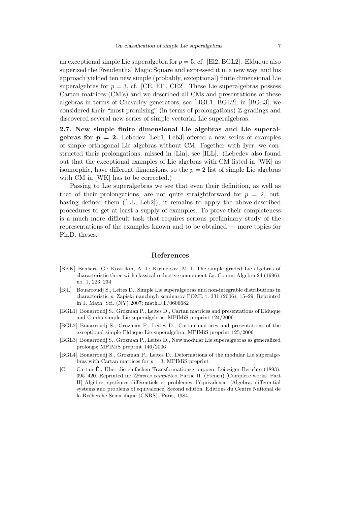an exceptional simple Lie superalgebra for  $p = 5$ , cf. [El2, BGL2]. Elduque also superized the Freudenthal Magic Square and expressed it in a new way, and his approach yielded ten new simple (probably, exceptional) finite dimensional Lie superalgebras for  $p = 3$ , cf. [CE, El1, CE2]. These Lie superalgebras possess Cartan matrices (CM's) and we described all CMs and presentations of these algebras in terms of Chevalley generators, see [BGL1, BGL2]; in [BGL3], we considered their "most promising" (in terms of prolongations) Z-gradings and discovered several new series of simple vectorial Lie superalgebras.

2.7. New simple finite dimensional Lie algebras and Lie superal**gebras for**  $p = 2$ **.** Lebedev [Leb1, Leb3] offered a new series of examples of simple orthogonal Lie algebras without CM. Together with Iyer, we constructed their prolongations, missed in [Lin], see [ILL]. (Lebedev also found out that the exceptional examples of Lie algebras with CM listed in [WK] as isomorphic, have different dimensions, so the  $p = 2$  list of simple Lie algebras with CM in [WK] has to be corrected.)

Passing to Lie superalgebras we see that even their definition, as well as that of their prolongations, are not quite straightforward for  $p = 2$ , but, having defined them ([LL, Leb2]), it remains to apply the above-described procedures to get at least a supply of examples. To prove their completeness is a much more difficult task that requires serious preliminary study of the representations of the examples known and to be obtained — more topics for Ph.D. theses.

## References

- [BKK] Benkart, G.; Kostrikin, A. I.; Kuznetsov, M. I. The simple graded Lie algebras of characteristic three with classical reductive component  $L_0$ . Comm. Algebra 24 (1996), no. 1, 223–234
- [BjL] Bouarroudj S., Leites D., Simple Lie superalgebras and non-integrable distributions in characteristic p. Zapiski nauchnyh seminarov POMI, t. 331 (2006), 15–29; Reprinted in J. Math. Sci. (NY) 2007; math.RT/0606682
- [BGL1] Bouarroudj S., Grozman P., Leites D., Cartan matrices and presentations of Elduque and Cunha simple Lie superalgebras; MPIMiS preprint 124/2006
- [BGL2] Bouarroudj S., Grozman P., Leites D., Cartan matrices and presentations of the exceptional simple Elduque Lie superalgebra; MPIMiS preprint 125/2006
- [BGL3] Bouarroudj S., Grozman P., Leites D., New modular Lie superalgebras as generalized prolongs; MPIMiS preprint 146/2006
- [BGL4] Bouarroudj S., Grozman P., Leites D., Deformations of the modular Lie superalgebras with Cartan matrices for  $p = 3$ ; MPIMiS preprint
- [C] Cartan É., Über die einfachen Transformationsgrouppen, Leipziger Berichte (1893),  $395-420$ . Reprinted in: *Œuvres complètes*. Partie II. (French) [Complete works. Part II] Algèbre, systèmes différentiels et problèmes d'équivalence. [Algebra, differential] systems and problems of equivalence] Second edition. Editions du Centre National de ´ la Recherche Scientifique (CNRS), Paris, 1984.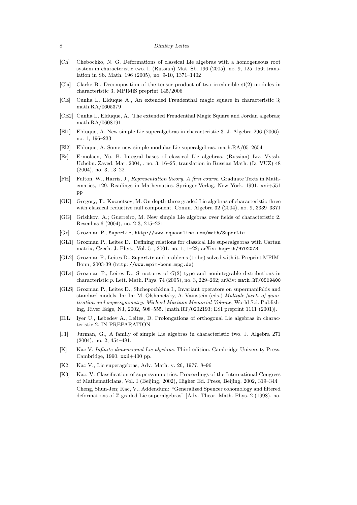| 8     | Dimitry Leites                                                                                                                                                                                                                                                                                                                                                 |
|-------|----------------------------------------------------------------------------------------------------------------------------------------------------------------------------------------------------------------------------------------------------------------------------------------------------------------------------------------------------------------|
| [Ch]  | Chebochko, N. G. Deformations of classical Lie algebras with a homogeneous root<br>system in characteristic two. I. (Russian) Mat. Sb. 196 (2005), no. 9, 125–156; trans-<br>lation in Sb. Math. 196 (2005), no. 9-10, 1371-1402                                                                                                                               |
| [Cla] | Clarke B., Decomposition of the tensor product of two irreducible $\mathfrak{sl}(2)$ -modules in<br>characteristic 3, MPIMiS preprint $145/2006$                                                                                                                                                                                                               |
| [CE]  | Cunha I., Elduque A., An extended Freudenthal magic square in characteristic 3;<br>math.RA/0605379                                                                                                                                                                                                                                                             |
| CE2   | Cunha I., Elduque, A., The extended Freudenthal Magic Square and Jordan algebras;<br>math. $RA/0608191$                                                                                                                                                                                                                                                        |
| [El1] | Elduque, A. New simple Lie superalgebras in characteristic 3. J. Algebra 296 (2006),<br>no. 1, 196–233                                                                                                                                                                                                                                                         |
| [E12] | Elduque, A. Some new simple modular Lie superalgebras. $\text{math.RA}/0512654$                                                                                                                                                                                                                                                                                |
| [Er]  | Ermolaev, Yu. B. Integral bases of classical Lie algebras. (Russian) Izv. Vyssh.<br>Uchebn. Zaved. Mat. 2004, , no. 3, 16–25; translation in Russian Math. (Iz. VUZ) 48<br>$(2004)$ , no. 3, 13–22.                                                                                                                                                            |
| [FH]  | Fulton, W., Harris, J., Representation theory. A first course. Graduate Texts in Math-<br>ematics, 129. Readings in Mathematics. Springer-Verlag, New York, 1991. xvi+551<br>$_{\rm pp}$                                                                                                                                                                       |
| [GK]  | Gregory, T.; Kuznetsov, M. On depth-three graded Lie algebras of characteristic three<br>with classical reductive null component. Comm. Algebra 32 (2004), no. 9, 3339–3371                                                                                                                                                                                    |
| [GG]  | Grishkov, A.; Guerreiro, M. New simple Lie algebras over fields of characteristic 2.<br>Resenhas $6(2004)$ , no. 2-3, 215-221                                                                                                                                                                                                                                  |
| Gr    | Grozman P., SuperLie, http://www.equaonline.com/math/SuperLie                                                                                                                                                                                                                                                                                                  |
| [GL1] | Grozman P., Leites D., Defining relations for classical Lie superalgebras with Cartan<br>matrix, Czech. J. Phys., Vol. 51, 2001, no. 1, 1-22; arXiv: hep-th/9702073                                                                                                                                                                                            |
|       | GL2  Grozman P., Leites D., SuperLie and problems (to be) solved with it. Preprint MPIM-<br>Bonn, 2003-39 (http://www.mpim-bonn.mpg.de)                                                                                                                                                                                                                        |
|       | [GL4] Grozman P., Leites D., Structures of $G(2)$ type and nonintegrable distributions in<br>characteristic p. Lett. Math. Phys. 74 (2005), no. 3, 229-262; arXiv: math. $RT/0509400$                                                                                                                                                                          |
|       | GLS Grozman P., Leites D., Shchepochkina I., Invariant operators on supermanifolds and<br>standard models. In: In: M. Olshanetsky, A. Vainstein (eds.) Multiple facets of quan-<br><i>tization and supersymmetry. Michael Marinov Memorial Volume, World Sci. Publish-</i><br>ing, River Edge, NJ, 2002, 508-555. [math.RT/0202193; ESI preprint 1111 (2001)]. |
| [ILL] | Iyer U., Lebedev A., Leites, D. Prolongations of orthogonal Lie algebras in charac-<br>teristic 2. IN PREPARATION                                                                                                                                                                                                                                              |
| J1    | Jurman, G., A family of simple Lie algebras in characteristic two. J. Algebra 271<br>$(2004)$ , no. 2, 454-481.                                                                                                                                                                                                                                                |
| [K]   | Kac V. Infinite-dimensional Lie algebras. Third edition. Cambridge University Press,<br>Cambridge, $1990. xxi + 400$ pp.                                                                                                                                                                                                                                       |
| K2    | Kac V., Lie superagebras, Adv. Math. v. 26, 1977, 8–96                                                                                                                                                                                                                                                                                                         |
| [K3]  | Kac, V. Classification of supersymmetries. Proceedings of the International Congress<br>of Mathematicians, Vol. I (Beijing, 2002), Higher Ed. Press, Beijing, 2002, 319–344                                                                                                                                                                                    |
|       | Cheng, Shun-Jen; Kac, V., Addendum: "Generalized Spencer cohomology and filtered<br>deformations of Z-graded Lie superalgebras" [Adv. Theor. Math. Phys. 2 (1998), no.                                                                                                                                                                                         |
|       |                                                                                                                                                                                                                                                                                                                                                                |
|       |                                                                                                                                                                                                                                                                                                                                                                |
|       |                                                                                                                                                                                                                                                                                                                                                                |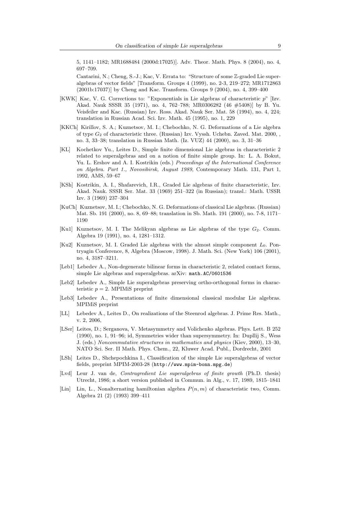5, 1141–1182; MR1688484 (2000d:17025)]. Adv. Theor. Math. Phys. 8 (2004), no. 4, 697–709.

Cantarini, N.; Cheng, S.-J.; Kac, V. Errata to: "Structure of some Z-graded Lie superalgebras of vector fields" [Transform. Groups 4 (1999), no. 2-3, 219–272; MR1712863 (2001b:17037)] by Cheng and Kac. Transform. Groups 9 (2004), no. 4, 399–400

- [KWK] Kac, V. G. Corrections to: "Exponentials in Lie algebras of characteristic p" [Izv. Akad. Nauk SSSR 35 (1971), no. 4, 762–788; MR0306282 (46 #5408)] by B. Yu. Veisfeiler and Kac. (Russian) Izv. Ross. Akad. Nauk Ser. Mat. 58 (1994), no. 4, 224; translation in Russian Acad. Sci. Izv. Math. 45 (1995), no. 1, 229
- [KKCh] Kirillov, S. A.; Kuznetsov, M. I.; Chebochko, N. G. Deformations of a Lie algebra of type  $G_2$  of characteristic three. (Russian) Izv. Vyssh. Uchebn. Zaved. Mat. 2000, , no. 3, 33–38; translation in Russian Math. (Iz. VUZ) 44 (2000), no. 3, 31–36
- [KL] Kochetkov Yu., Leites D., Simple finite dimensional Lie algebras in characteristic 2 related to superalgebras and on a notion of finite simple group. In: L. A. Bokut, Yu. L. Ershov and A. I. Kostrikin (eds.) Proceedings of the International Conference on Algebra. Part 1., Novosibirsk, August 1989, Contemporary Math. 131, Part 1, 1992, AMS, 59–67
- [KSh] Kostrikin, A. I., Shafarevich, I.R., Graded Lie algebras of finite characteristic, Izv. Akad. Nauk. SSSR Ser. Mat. 33 (1969) 251–322 (in Russian); transl.: Math. USSR Izv. 3 (1969) 237–304
- [KuCh] Kuznetsov, M. I.; Chebochko, N. G. Deformations of classical Lie algebras. (Russian) Mat. Sb. 191 (2000), no. 8, 69–88; translation in Sb. Math. 191 (2000), no. 7-8, 1171– 1190
- [Ku1] Kuznetsov, M. I. The Melikyan algebras as Lie algebras of the type  $G_2$ . Comm. Algebra 19 (1991), no. 4, 1281–1312.
- [Ku2] Kuznetsov, M. I. Graded Lie algebras with the almost simple component  $L_0$ . Pontryagin Conference, 8, Algebra (Moscow, 1998). J. Math. Sci. (New York) 106 (2001), no. 4, 3187–3211.
- [Leb1] Lebedev A., Non-degenerate bilinear forms in characteristic 2, related contact forms, simple Lie algebras and superalgebras. arXiv: math.AC/0601536
- [Leb2] Lebedev A., Simple Lie superalgebras preserving ortho-orthogonal forms in characteristic  $p = 2$ . MPIMiS preprint
- [Leb3] Lebedev A., Presentations of finite dimensional classical modular Lie algebras. MPIMiS preprint
- [LL] Lebedev A., Leites D., On realizations of the Steenrod algebras. J. Prime Res. Math., v. 2, 2006,
- [LSer] Leites, D.; Serganova, V. Metasymmetry and Volichenko algebras. Phys. Lett. B 252 (1990), no. 1, 91–96; id, Symmetries wider than supersymmetry. In: Dupllij S., Wess J. (eds.) Noncommutative structures in mathematics and physics (Kiev, 2000), 13–30, NATO Sci. Ser. II Math. Phys. Chem., 22, Kluwer Acad. Publ., Dordrecht, 2001
- [LSh] Leites D., Shchepochkina I., Classification of the simple Lie superalgebras of vector fields, preprint MPIM-2003-28 (http://www.mpim-bonn.mpg.de)
- [Lvd] Leur J. van de, Contragredient Lie superalgebras of finite growth (Ph.D. thesis) Utrecht, 1986; a short version published in Commun. in Alg., v. 17, 1989, 1815–1841
- [Lin] Lin, L., Nonalternating hamiltonian algebra  $P(n, m)$  of characteristic two, Comm. Algebra 21 (2) (1993) 399–411